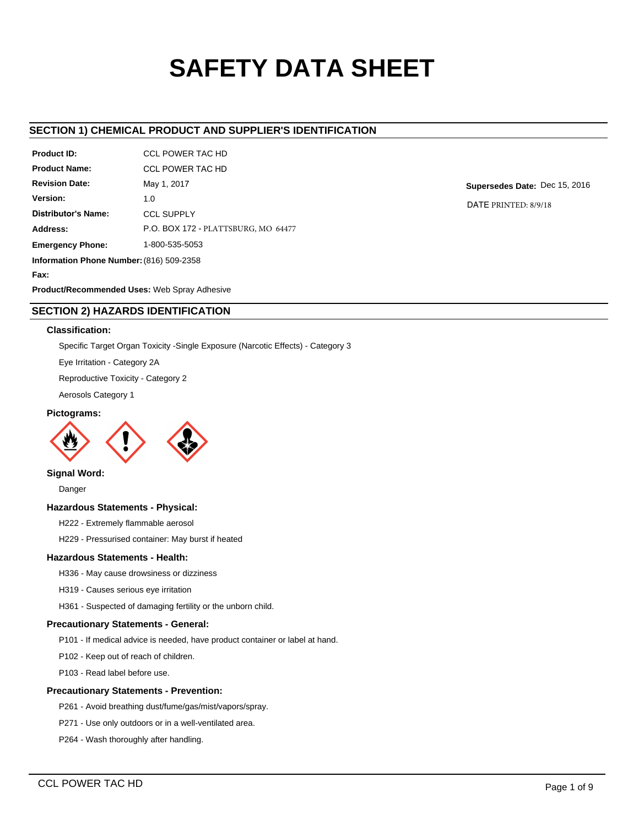# **SAFETY DATA SHEET**

# **SECTION 1) CHEMICAL PRODUCT AND SUPPLIER'S IDENTIFICATION**

| Product ID:                              | <b>CCL POWER TAC HD</b>             |  |  |  |
|------------------------------------------|-------------------------------------|--|--|--|
| <b>Product Name:</b>                     | CCL POWER TAC HD                    |  |  |  |
| <b>Revision Date:</b>                    | May 1, 2017                         |  |  |  |
| Version:                                 | 1.0                                 |  |  |  |
| Distributor's Name:                      | <b>CCL SUPPLY</b>                   |  |  |  |
| Address:                                 | P.O. BOX 172 - PLATTSBURG, MO 64477 |  |  |  |
| <b>Emergency Phone:</b>                  | 1-800-535-5053                      |  |  |  |
| Information Phone Number: (816) 509-2358 |                                     |  |  |  |
| Fax:                                     |                                     |  |  |  |

**Product/Recommended Uses:** Web Spray Adhesive

# **SECTION 2) HAZARDS IDENTIFICATION**

# **Classification:**

Specific Target Organ Toxicity -Single Exposure (Narcotic Effects) - Category 3

Eye Irritation - Category 2A

Reproductive Toxicity - Category 2

Aerosols Category 1

# **Pictograms:**



# **Signal Word:**

Danger

# **Hazardous Statements - Physical:**

H222 - Extremely flammable aerosol

H229 - Pressurised container: May burst if heated

# **Hazardous Statements - Health:**

H336 - May cause drowsiness or dizziness

H319 - Causes serious eye irritation

H361 - Suspected of damaging fertility or the unborn child.

## **Precautionary Statements - General:**

P101 - If medical advice is needed, have product container or label at hand.

P102 - Keep out of reach of children.

P103 - Read label before use.

## **Precautionary Statements - Prevention:**

P261 - Avoid breathing dust/fume/gas/mist/vapors/spray.

P271 - Use only outdoors or in a well-ventilated area.

P264 - Wash thoroughly after handling.

**Supersedes Date:** Dec 15, 2016 DATE PRINTED: 8/9/18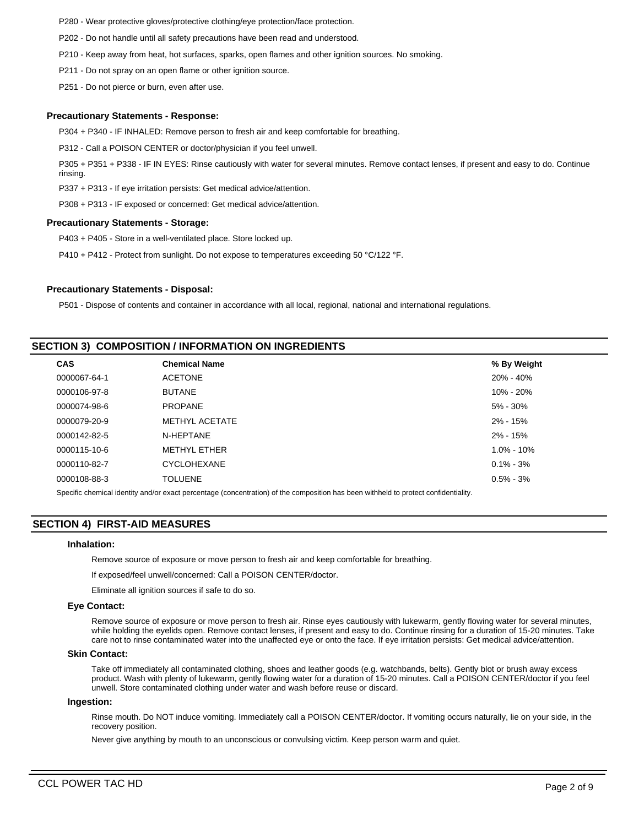- P280 Wear protective gloves/protective clothing/eye protection/face protection.
- P202 Do not handle until all safety precautions have been read and understood.
- P210 Keep away from heat, hot surfaces, sparks, open flames and other ignition sources. No smoking.
- P211 Do not spray on an open flame or other ignition source.
- P251 Do not pierce or burn, even after use.

#### **Precautionary Statements - Response:**

P304 + P340 - IF INHALED: Remove person to fresh air and keep comfortable for breathing.

P312 - Call a POISON CENTER or doctor/physician if you feel unwell.

P305 + P351 + P338 - IF IN EYES: Rinse cautiously with water for several minutes. Remove contact lenses, if present and easy to do. Continue rinsing.

P337 + P313 - If eye irritation persists: Get medical advice/attention.

P308 + P313 - IF exposed or concerned: Get medical advice/attention.

# **Precautionary Statements - Storage:**

P403 + P405 - Store in a well-ventilated place. Store locked up.

P410 + P412 - Protect from sunlight. Do not expose to temperatures exceeding 50 °C/122 °F.

#### **Precautionary Statements - Disposal:**

P501 - Dispose of contents and container in accordance with all local, regional, national and international regulations.

# **SECTION 3) COMPOSITION / INFORMATION ON INGREDIENTS**

| <b>CAS</b>   | <b>Chemical Name</b>  | % By Weight    |
|--------------|-----------------------|----------------|
| 0000067-64-1 | <b>ACETONE</b>        | 20% - 40%      |
| 0000106-97-8 | <b>BUTANE</b>         | 10% - 20%      |
| 0000074-98-6 | <b>PROPANE</b>        | 5% - 30%       |
| 0000079-20-9 | <b>METHYL ACETATE</b> | $2\% - 15\%$   |
| 0000142-82-5 | N-HEPTANE             | $2\% - 15\%$   |
| 0000115-10-6 | <b>METHYL ETHER</b>   | $1.0\% - 10\%$ |
| 0000110-82-7 | <b>CYCLOHEXANE</b>    | $0.1\% - 3\%$  |
| 0000108-88-3 | <b>TOLUENE</b>        | $0.5\% - 3\%$  |
|              |                       |                |

Specific chemical identity and/or exact percentage (concentration) of the composition has been withheld to protect confidentiality.

# **SECTION 4) FIRST-AID MEASURES**

#### **Inhalation:**

Remove source of exposure or move person to fresh air and keep comfortable for breathing.

If exposed/feel unwell/concerned: Call a POISON CENTER/doctor.

Eliminate all ignition sources if safe to do so.

#### **Eye Contact:**

Remove source of exposure or move person to fresh air. Rinse eyes cautiously with lukewarm, gently flowing water for several minutes, while holding the eyelids open. Remove contact lenses, if present and easy to do. Continue rinsing for a duration of 15-20 minutes. Take care not to rinse contaminated water into the unaffected eye or onto the face. If eye irritation persists: Get medical advice/attention.

## **Skin Contact:**

Take off immediately all contaminated clothing, shoes and leather goods (e.g. watchbands, belts). Gently blot or brush away excess product. Wash with plenty of lukewarm, gently flowing water for a duration of 15-20 minutes. Call a POISON CENTER/doctor if you feel unwell. Store contaminated clothing under water and wash before reuse or discard.

#### **Ingestion:**

Rinse mouth. Do NOT induce vomiting. Immediately call a POISON CENTER/doctor. If vomiting occurs naturally, lie on your side, in the recovery position.

Never give anything by mouth to an unconscious or convulsing victim. Keep person warm and quiet.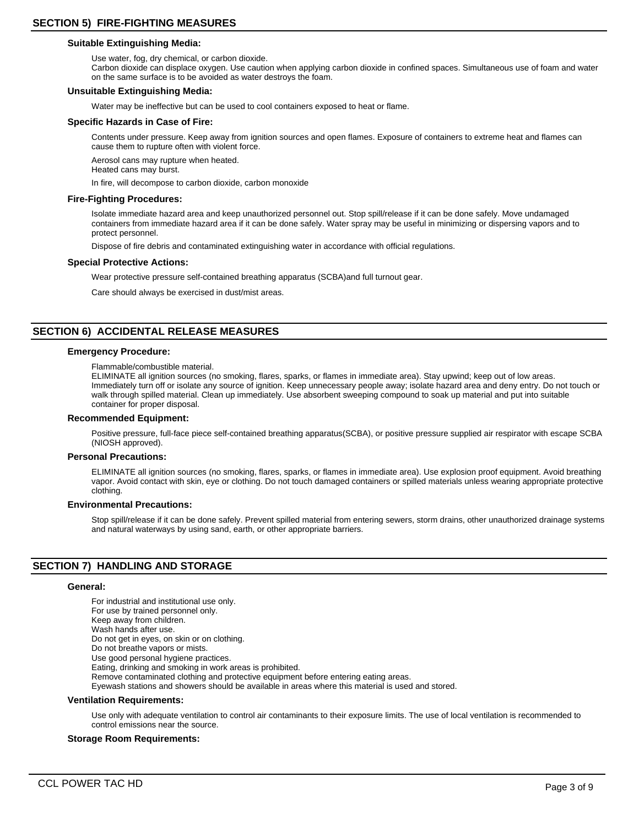# **SECTION 5) FIRE-FIGHTING MEASURES**

## **Suitable Extinguishing Media:**

Use water, fog, dry chemical, or carbon dioxide.

Carbon dioxide can displace oxygen. Use caution when applying carbon dioxide in confined spaces. Simultaneous use of foam and water on the same surface is to be avoided as water destroys the foam.

## **Unsuitable Extinguishing Media:**

Water may be ineffective but can be used to cool containers exposed to heat or flame.

#### **Specific Hazards in Case of Fire:**

Contents under pressure. Keep away from ignition sources and open flames. Exposure of containers to extreme heat and flames can cause them to rupture often with violent force.

Aerosol cans may rupture when heated.

Heated cans may burst.

In fire, will decompose to carbon dioxide, carbon monoxide

#### **Fire-Fighting Procedures:**

Isolate immediate hazard area and keep unauthorized personnel out. Stop spill/release if it can be done safely. Move undamaged containers from immediate hazard area if it can be done safely. Water spray may be useful in minimizing or dispersing vapors and to protect personnel.

Dispose of fire debris and contaminated extinguishing water in accordance with official regulations.

## **Special Protective Actions:**

Wear protective pressure self-contained breathing apparatus (SCBA)and full turnout gear.

Care should always be exercised in dust/mist areas.

# **SECTION 6) ACCIDENTAL RELEASE MEASURES**

## **Emergency Procedure:**

Flammable/combustible material.

ELIMINATE all ignition sources (no smoking, flares, sparks, or flames in immediate area). Stay upwind; keep out of low areas. Immediately turn off or isolate any source of ignition. Keep unnecessary people away; isolate hazard area and deny entry. Do not touch or walk through spilled material. Clean up immediately. Use absorbent sweeping compound to soak up material and put into suitable container for proper disposal.

#### **Recommended Equipment:**

Positive pressure, full-face piece self-contained breathing apparatus(SCBA), or positive pressure supplied air respirator with escape SCBA (NIOSH approved).

#### **Personal Precautions:**

ELIMINATE all ignition sources (no smoking, flares, sparks, or flames in immediate area). Use explosion proof equipment. Avoid breathing vapor. Avoid contact with skin, eye or clothing. Do not touch damaged containers or spilled materials unless wearing appropriate protective clothing.

#### **Environmental Precautions:**

Stop spill/release if it can be done safely. Prevent spilled material from entering sewers, storm drains, other unauthorized drainage systems and natural waterways by using sand, earth, or other appropriate barriers.

# **SECTION 7) HANDLING AND STORAGE**

#### **General:**

For industrial and institutional use only. For use by trained personnel only. Keep away from children. Wash hands after use. Do not get in eyes, on skin or on clothing. Do not breathe vapors or mists. Use good personal hygiene practices. Eating, drinking and smoking in work areas is prohibited. Remove contaminated clothing and protective equipment before entering eating areas. Eyewash stations and showers should be available in areas where this material is used and stored.

## **Ventilation Requirements:**

Use only with adequate ventilation to control air contaminants to their exposure limits. The use of local ventilation is recommended to control emissions near the source.

## **Storage Room Requirements:**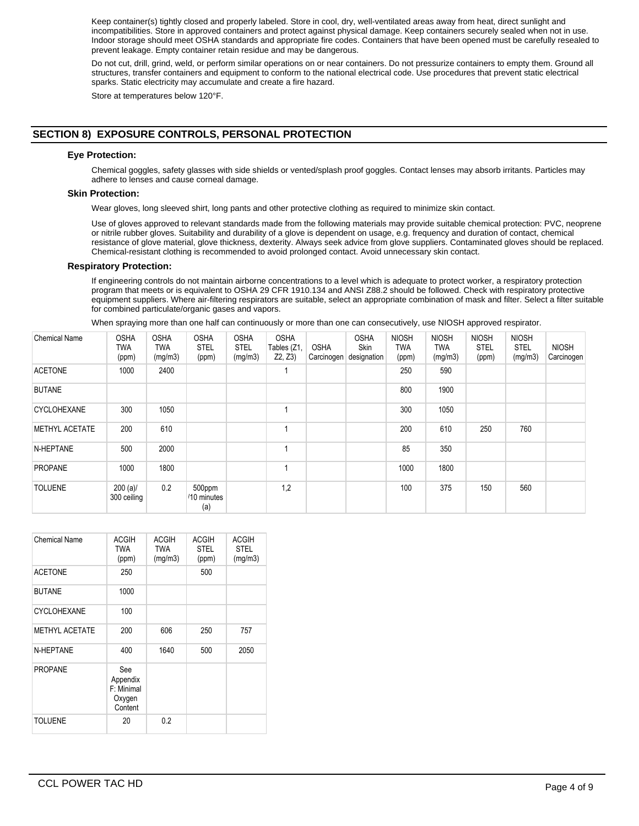Keep container(s) tightly closed and properly labeled. Store in cool, dry, well-ventilated areas away from heat, direct sunlight and incompatibilities. Store in approved containers and protect against physical damage. Keep containers securely sealed when not in use. Indoor storage should meet OSHA standards and appropriate fire codes. Containers that have been opened must be carefully resealed to prevent leakage. Empty container retain residue and may be dangerous.

Do not cut, drill, grind, weld, or perform similar operations on or near containers. Do not pressurize containers to empty them. Ground all structures, transfer containers and equipment to conform to the national electrical code. Use procedures that prevent static electrical sparks. Static electricity may accumulate and create a fire hazard.

Store at temperatures below 120°F.

# **SECTION 8) EXPOSURE CONTROLS, PERSONAL PROTECTION**

## **Eye Protection:**

Chemical goggles, safety glasses with side shields or vented/splash proof goggles. Contact lenses may absorb irritants. Particles may adhere to lenses and cause corneal damage.

## **Skin Protection:**

Wear gloves, long sleeved shirt, long pants and other protective clothing as required to minimize skin contact.

Use of gloves approved to relevant standards made from the following materials may provide suitable chemical protection: PVC, neoprene or nitrile rubber gloves. Suitability and durability of a glove is dependent on usage, e.g. frequency and duration of contact, chemical resistance of glove material, glove thickness, dexterity. Always seek advice from glove suppliers. Contaminated gloves should be replaced. Chemical-resistant clothing is recommended to avoid prolonged contact. Avoid unnecessary skin contact.

## **Respiratory Protection:**

If engineering controls do not maintain airborne concentrations to a level which is adequate to protect worker, a respiratory protection program that meets or is equivalent to OSHA 29 CFR 1910.134 and ANSI Z88.2 should be followed. Check with respiratory protective equipment suppliers. Where air-filtering respirators are suitable, select an appropriate combination of mask and filter. Select a filter suitable for combined particulate/organic gases and vapors.

When spraying more than one half can continuously or more than one can consecutively, use NIOSH approved respirator.

| <b>Chemical Name</b>  | <b>OSHA</b><br>TWA<br>(ppm) | <b>OSHA</b><br>TWA<br>(mg/m3) | <b>OSHA</b><br><b>STEL</b><br>(ppm) | <b>OSHA</b><br><b>STEL</b><br>(mg/m3) | <b>OSHA</b><br>Tables (Z1,<br>Z2, Z3 | <b>OSHA</b><br>Carcinogen | <b>OSHA</b><br><b>Skin</b><br>designation | <b>NIOSH</b><br><b>TWA</b><br>(ppm) | <b>NIOSH</b><br>TWA<br>(mg/m3) | <b>NIOSH</b><br><b>STEL</b><br>(ppm) | <b>NIOSH</b><br><b>STEL</b><br>(mg/m3) | <b>NIOSH</b><br>Carcinogen |
|-----------------------|-----------------------------|-------------------------------|-------------------------------------|---------------------------------------|--------------------------------------|---------------------------|-------------------------------------------|-------------------------------------|--------------------------------|--------------------------------------|----------------------------------------|----------------------------|
| <b>ACETONE</b>        | 1000                        | 2400                          |                                     |                                       |                                      |                           |                                           | 250                                 | 590                            |                                      |                                        |                            |
| <b>BUTANE</b>         |                             |                               |                                     |                                       |                                      |                           |                                           | 800                                 | 1900                           |                                      |                                        |                            |
| <b>CYCLOHEXANE</b>    | 300                         | 1050                          |                                     |                                       |                                      |                           |                                           | 300                                 | 1050                           |                                      |                                        |                            |
| <b>METHYL ACETATE</b> | 200                         | 610                           |                                     |                                       |                                      |                           |                                           | 200                                 | 610                            | 250                                  | 760                                    |                            |
| N-HEPTANE             | 500                         | 2000                          |                                     |                                       |                                      |                           |                                           | 85                                  | 350                            |                                      |                                        |                            |
| PROPANE               | 1000                        | 1800                          |                                     |                                       |                                      |                           |                                           | 1000                                | 1800                           |                                      |                                        |                            |
| <b>TOLUENE</b>        | $200 (a)$ /<br>300 ceiling  | 0.2                           | 500ppm<br>/10 minutes<br>(a)        |                                       | 1,2                                  |                           |                                           | 100                                 | 375                            | 150                                  | 560                                    |                            |

| <b>Chemical Name</b>  | <b>ACGIH</b><br><b>TWA</b><br>(ppm)                | <b>ACGIH</b><br><b>TWA</b><br>(mg/m3) | <b>ACGIH</b><br><b>STEL</b><br>(ppm) | <b>ACGIH</b><br><b>STEL</b><br>(mg/m3) |
|-----------------------|----------------------------------------------------|---------------------------------------|--------------------------------------|----------------------------------------|
| <b>ACETONE</b>        | 250                                                |                                       | 500                                  |                                        |
| <b>BUTANE</b>         | 1000                                               |                                       |                                      |                                        |
| <b>CYCLOHEXANE</b>    | 100                                                |                                       |                                      |                                        |
| <b>METHYL ACETATE</b> | 200                                                | 606                                   | 250                                  | 757                                    |
| N-HEPTANE             | 400                                                | 1640                                  | 500                                  | 2050                                   |
| <b>PROPANE</b>        | See<br>Appendix<br>F: Minimal<br>Oxygen<br>Content |                                       |                                      |                                        |
| <b>TOLUENE</b>        | 20                                                 | 0.2                                   |                                      |                                        |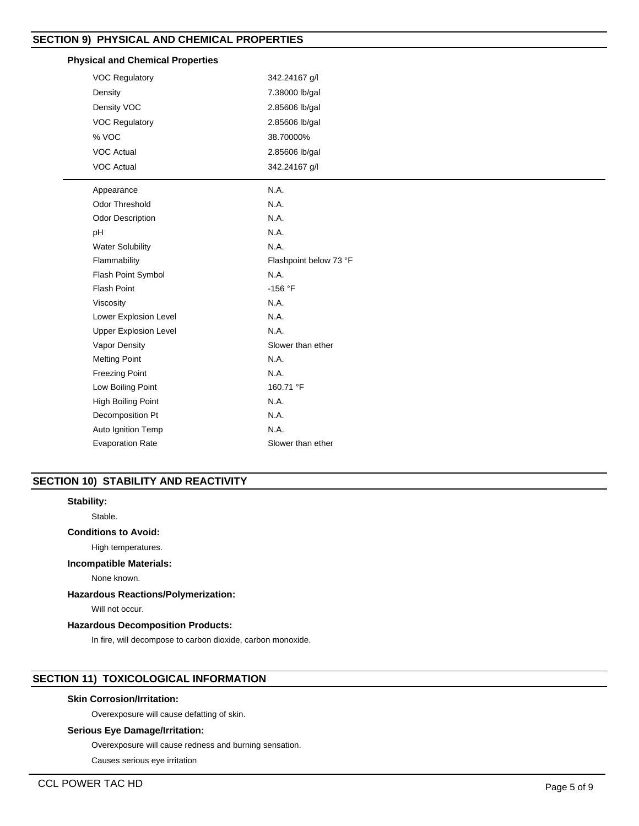# **SECTION 9) PHYSICAL AND CHEMICAL PROPERTIES**

| <b>Physical and Chemical Properties</b> |                        |  |  |  |
|-----------------------------------------|------------------------|--|--|--|
| <b>VOC Regulatory</b>                   | 342.24167 g/l          |  |  |  |
| Density                                 | 7.38000 lb/gal         |  |  |  |
| Density VOC                             | 2.85606 lb/gal         |  |  |  |
| <b>VOC Regulatory</b>                   | 2.85606 lb/gal         |  |  |  |
| % VOC                                   | 38.70000%              |  |  |  |
| <b>VOC Actual</b>                       | 2.85606 lb/gal         |  |  |  |
| <b>VOC Actual</b>                       | 342.24167 g/l          |  |  |  |
| Appearance                              | N.A.                   |  |  |  |
| Odor Threshold                          | N.A.                   |  |  |  |
| <b>Odor Description</b>                 | N.A.                   |  |  |  |
| pH                                      | N.A.                   |  |  |  |
| <b>Water Solubility</b>                 | N.A.                   |  |  |  |
| Flammability                            | Flashpoint below 73 °F |  |  |  |
| Flash Point Symbol                      | N.A.                   |  |  |  |
| <b>Flash Point</b>                      | $-156 °F$              |  |  |  |
| Viscosity                               | N.A.                   |  |  |  |
| Lower Explosion Level                   | N.A.                   |  |  |  |
| <b>Upper Explosion Level</b>            | N.A.                   |  |  |  |
| Vapor Density                           | Slower than ether      |  |  |  |
| <b>Melting Point</b>                    | N.A.                   |  |  |  |
| <b>Freezing Point</b>                   | N.A.                   |  |  |  |
| Low Boiling Point                       | 160.71 °F              |  |  |  |
| <b>High Boiling Point</b>               | N.A.                   |  |  |  |
| Decomposition Pt                        | N.A.                   |  |  |  |
| Auto Ignition Temp                      | N.A.                   |  |  |  |
| <b>Evaporation Rate</b>                 | Slower than ether      |  |  |  |

# **SECTION 10) STABILITY AND REACTIVITY**

# **Stability:**

Stable.

# **Conditions to Avoid:**

High temperatures.

# **Incompatible Materials:**

None known.

# **Hazardous Reactions/Polymerization:**

Will not occur.

# **Hazardous Decomposition Products:**

In fire, will decompose to carbon dioxide, carbon monoxide.

# **SECTION 11) TOXICOLOGICAL INFORMATION**

# **Skin Corrosion/Irritation:**

Overexposure will cause defatting of skin.

# **Serious Eye Damage/Irritation:**

Overexposure will cause redness and burning sensation.

Causes serious eye irritation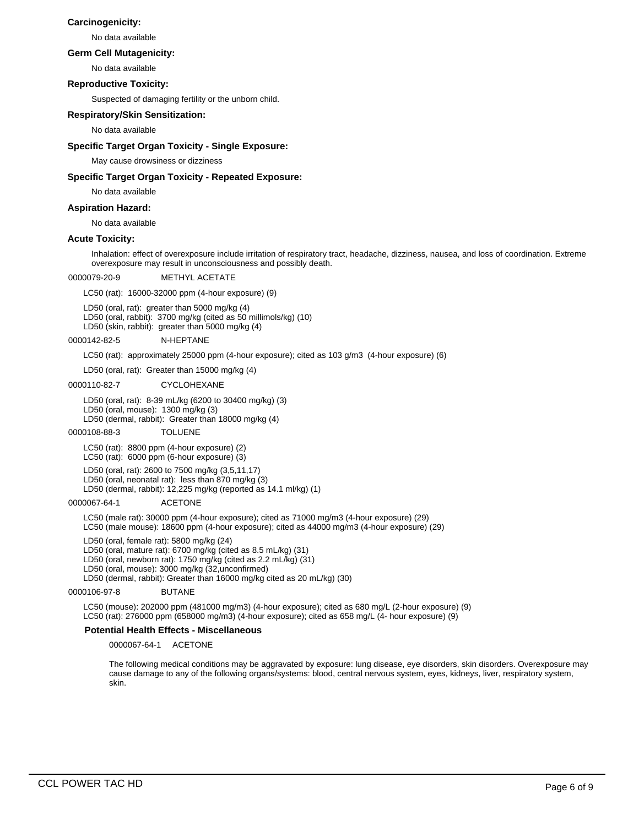# **Carcinogenicity:**

No data available

## **Germ Cell Mutagenicity:**

No data available

## **Reproductive Toxicity:**

Suspected of damaging fertility or the unborn child.

# **Respiratory/Skin Sensitization:**

No data available

# **Specific Target Organ Toxicity - Single Exposure:**

May cause drowsiness or dizziness

# **Specific Target Organ Toxicity - Repeated Exposure:**

No data available

## **Aspiration Hazard:**

No data available

# **Acute Toxicity:**

Inhalation: effect of overexposure include irritation of respiratory tract, headache, dizziness, nausea, and loss of coordination. Extreme overexposure may result in unconsciousness and possibly death.

## 0000079-20-9 METHYL ACETATE

LC50 (rat): 16000-32000 ppm (4-hour exposure) (9)

LD50 (oral, rat): greater than 5000 mg/kg (4) LD50 (oral, rabbit): 3700 mg/kg (cited as 50 millimols/kg) (10) LD50 (skin, rabbit): greater than 5000 mg/kg (4)

0000142-82-5 N-HEPTANE

LC50 (rat): approximately 25000 ppm (4-hour exposure); cited as 103 g/m3 (4-hour exposure) (6)

LD50 (oral, rat): Greater than 15000 mg/kg (4)

## 0000110-82-7 CYCLOHEXANE

LD50 (oral, rat): 8-39 mL/kg (6200 to 30400 mg/kg) (3) LD50 (oral, mouse): 1300 mg/kg (3) LD50 (dermal, rabbit): Greater than 18000 mg/kg (4)

## 0000108-88-3 TOLUENE

LC50 (rat): 8800 ppm (4-hour exposure) (2)

LC50 (rat): 6000 ppm (6-hour exposure) (3)

LD50 (oral, rat): 2600 to 7500 mg/kg (3,5,11,17) LD50 (oral, neonatal rat): less than 870 mg/kg (3)

LD50 (dermal, rabbit): 12,225 mg/kg (reported as 14.1 ml/kg) (1)

## 0000067-64-1 ACETONE

LC50 (male rat): 30000 ppm (4-hour exposure); cited as 71000 mg/m3 (4-hour exposure) (29) LC50 (male mouse): 18600 ppm (4-hour exposure); cited as 44000 mg/m3 (4-hour exposure) (29)

LD50 (oral, female rat): 5800 mg/kg (24)

LD50 (oral, mature rat): 6700 mg/kg (cited as 8.5 mL/kg) (31)

LD50 (oral, newborn rat): 1750 mg/kg (cited as 2.2 mL/kg) (31)

LD50 (oral, mouse): 3000 mg/kg (32,unconfirmed)

LD50 (dermal, rabbit): Greater than 16000 mg/kg cited as 20 mL/kg) (30)

0000106-97-8 BUTANE

LC50 (mouse): 202000 ppm (481000 mg/m3) (4-hour exposure); cited as 680 mg/L (2-hour exposure) (9) LC50 (rat): 276000 ppm (658000 mg/m3) (4-hour exposure); cited as 658 mg/L (4- hour exposure) (9)

# **Potential Health Effects - Miscellaneous**

0000067-64-1 ACETONE

The following medical conditions may be aggravated by exposure: lung disease, eye disorders, skin disorders. Overexposure may cause damage to any of the following organs/systems: blood, central nervous system, eyes, kidneys, liver, respiratory system, skin.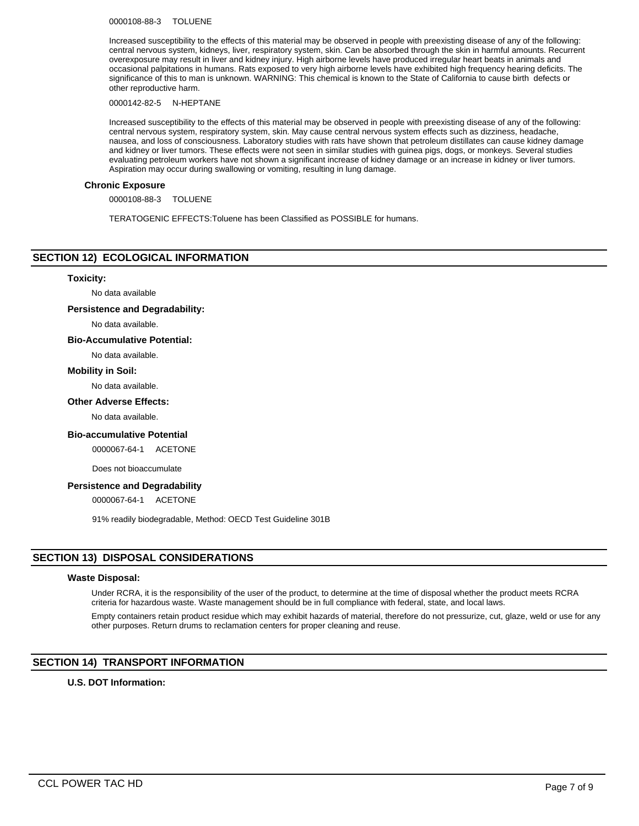#### 0000108-88-3 TOLUENE

Increased susceptibility to the effects of this material may be observed in people with preexisting disease of any of the following: central nervous system, kidneys, liver, respiratory system, skin. Can be absorbed through the skin in harmful amounts. Recurrent overexposure may result in liver and kidney injury. High airborne levels have produced irregular heart beats in animals and occasional palpitations in humans. Rats exposed to very high airborne levels have exhibited high frequency hearing deficits. The significance of this to man is unknown. WARNING: This chemical is known to the State of California to cause birth defects or other reproductive harm.

#### 0000142-82-5 N-HEPTANE

Increased susceptibility to the effects of this material may be observed in people with preexisting disease of any of the following: central nervous system, respiratory system, skin. May cause central nervous system effects such as dizziness, headache, nausea, and loss of consciousness. Laboratory studies with rats have shown that petroleum distillates can cause kidney damage and kidney or liver tumors. These effects were not seen in similar studies with guinea pigs, dogs, or monkeys. Several studies evaluating petroleum workers have not shown a significant increase of kidney damage or an increase in kidney or liver tumors. Aspiration may occur during swallowing or vomiting, resulting in lung damage.

#### **Chronic Exposure**

0000108-88-3 TOLUENE

TERATOGENIC EFFECTS:Toluene has been Classified as POSSIBLE for humans.

# **SECTION 12) ECOLOGICAL INFORMATION**

#### **Toxicity:**

No data available

**Persistence and Degradability:**

No data available.

# **Bio-Accumulative Potential:**

No data available.

# **Mobility in Soil:**

No data available.

#### **Other Adverse Effects:**

No data available.

#### **Bio-accumulative Potential**

0000067-64-1 ACETONE

Does not bioaccumulate

## **Persistence and Degradability**

0000067-64-1 ACETONE

91% readily biodegradable, Method: OECD Test Guideline 301B

## **SECTION 13) DISPOSAL CONSIDERATIONS**

## **Waste Disposal:**

Under RCRA, it is the responsibility of the user of the product, to determine at the time of disposal whether the product meets RCRA criteria for hazardous waste. Waste management should be in full compliance with federal, state, and local laws.

Empty containers retain product residue which may exhibit hazards of material, therefore do not pressurize, cut, glaze, weld or use for any other purposes. Return drums to reclamation centers for proper cleaning and reuse.

## **SECTION 14) TRANSPORT INFORMATION**

# **U.S. DOT Information:**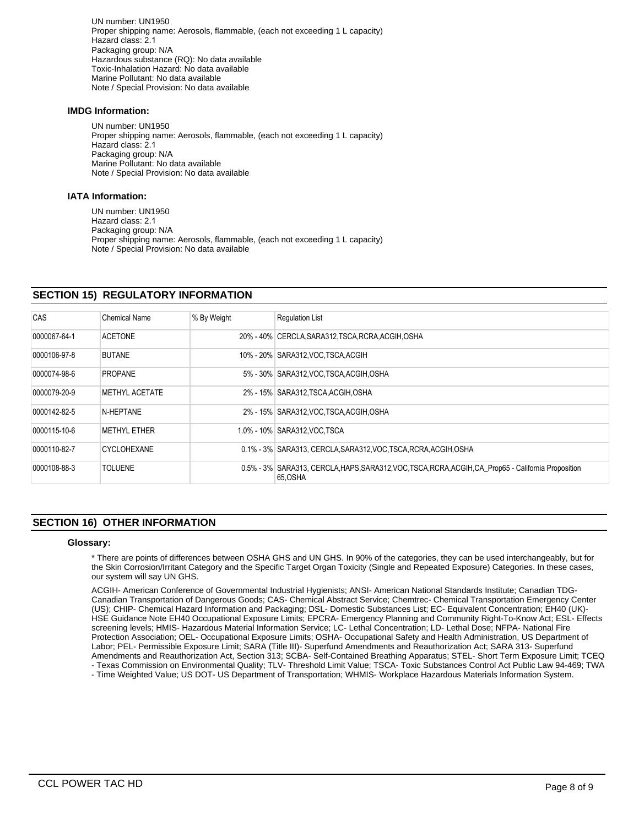UN number: UN1950 Proper shipping name: Aerosols, flammable, (each not exceeding 1 L capacity) Hazard class: 2.1 Packaging group: N/A Hazardous substance (RQ): No data available Toxic-Inhalation Hazard: No data available Marine Pollutant: No data available Note / Special Provision: No data available

# **IMDG Information:**

UN number: UN1950 Proper shipping name: Aerosols, flammable, (each not exceeding 1 L capacity) Hazard class: 2.1 Packaging group: N/A Marine Pollutant: No data available Note / Special Provision: No data available

# **IATA Information:**

UN number: UN1950 Hazard class: 2.1 Packaging group: N/A Proper shipping name: Aerosols, flammable, (each not exceeding 1 L capacity) Note / Special Provision: No data available

# **SECTION 15) REGULATORY INFORMATION**

| <b>CAS</b>   | Chemical Name       | % By Weight | <b>Requlation List</b>                                                                                          |
|--------------|---------------------|-------------|-----------------------------------------------------------------------------------------------------------------|
| 0000067-64-1 | <b>ACETONE</b>      |             | 20% - 40% CERCLA, SARA312, TSCA, RCRA, ACGIH, OSHA                                                              |
| 0000106-97-8 | <b>BUTANE</b>       |             | 10% - 20% SARA312, VOC, TSCA, ACGIH                                                                             |
| 0000074-98-6 | <b>PROPANE</b>      |             | 5% - 30% SARA312, VOC, TSCA, ACGIH, OSHA                                                                        |
| 0000079-20-9 | METHYL ACETATE      |             | 2% - 15% SARA312, TSCA, ACGIH, OSHA                                                                             |
| 0000142-82-5 | N-HEPTANE           |             | 2% - 15% SARA312, VOC, TSCA, ACGIH, OSHA                                                                        |
| 0000115-10-6 | <b>METHYL ETHER</b> |             | 1.0% - 10% SARA312.VOC TSCA                                                                                     |
| 0000110-82-7 | <b>CYCLOHEXANE</b>  |             | 0.1% - 3% SARA313, CERCLA, SARA312, VOC, TSCA, RCRA, ACGIH, OSHA                                                |
| 0000108-88-3 | <b>TOLUENE</b>      |             | 0.5% - 3% SARA313, CERCLA, HAPS, SARA312, VOC, TSCA, RCRA, ACGIH, CA Prop65 - California Proposition<br>65.OSHA |

# **SECTION 16) OTHER INFORMATION**

## **Glossary:**

\* There are points of differences between OSHA GHS and UN GHS. In 90% of the categories, they can be used interchangeably, but for the Skin Corrosion/Irritant Category and the Specific Target Organ Toxicity (Single and Repeated Exposure) Categories. In these cases, our system will say UN GHS.

ACGIH- American Conference of Governmental Industrial Hygienists; ANSI- American National Standards Institute; Canadian TDG-Canadian Transportation of Dangerous Goods; CAS- Chemical Abstract Service; Chemtrec- Chemical Transportation Emergency Center (US); CHIP- Chemical Hazard Information and Packaging; DSL- Domestic Substances List; EC- Equivalent Concentration; EH40 (UK)- HSE Guidance Note EH40 Occupational Exposure Limits; EPCRA- Emergency Planning and Community Right-To-Know Act; ESL- Effects screening levels; HMIS- Hazardous Material Information Service; LC- Lethal Concentration; LD- Lethal Dose; NFPA- National Fire Protection Association; OEL- Occupational Exposure Limits; OSHA- Occupational Safety and Health Administration, US Department of Labor; PEL- Permissible Exposure Limit; SARA (Title III)- Superfund Amendments and Reauthorization Act; SARA 313- Superfund Amendments and Reauthorization Act, Section 313; SCBA- Self-Contained Breathing Apparatus; STEL- Short Term Exposure Limit; TCEQ - Texas Commission on Environmental Quality; TLV- Threshold Limit Value; TSCA- Toxic Substances Control Act Public Law 94-469; TWA

- Time Weighted Value; US DOT- US Department of Transportation; WHMIS- Workplace Hazardous Materials Information System.